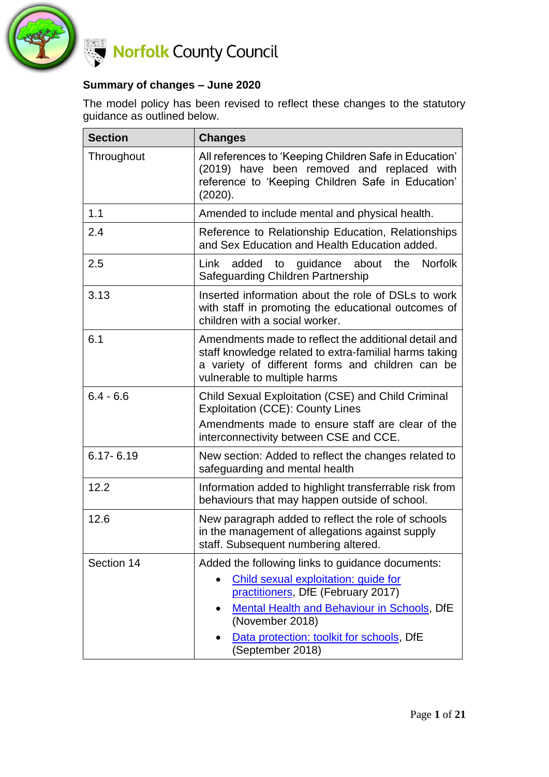

#### **Summary of changes – June 2020**

The model policy has been revised to reflect these changes to the statutory guidance as outlined below.

| <b>Section</b> | <b>Changes</b>                                                                                                                                                                                                                                                    |  |  |
|----------------|-------------------------------------------------------------------------------------------------------------------------------------------------------------------------------------------------------------------------------------------------------------------|--|--|
| Throughout     | All references to 'Keeping Children Safe in Education'<br>(2019) have been removed and replaced with<br>reference to 'Keeping Children Safe in Education'<br>(2020).                                                                                              |  |  |
| 1.1            | Amended to include mental and physical health.                                                                                                                                                                                                                    |  |  |
| 2.4            | Reference to Relationship Education, Relationships<br>and Sex Education and Health Education added.                                                                                                                                                               |  |  |
| 2.5            | <b>Norfolk</b><br>Link added to guidance about<br>the<br>Safeguarding Children Partnership                                                                                                                                                                        |  |  |
| 3.13           | Inserted information about the role of DSLs to work<br>with staff in promoting the educational outcomes of<br>children with a social worker.                                                                                                                      |  |  |
| 6.1            | Amendments made to reflect the additional detail and<br>staff knowledge related to extra-familial harms taking<br>a variety of different forms and children can be<br>vulnerable to multiple harms                                                                |  |  |
| $6.4 - 6.6$    | Child Sexual Exploitation (CSE) and Child Criminal<br><b>Exploitation (CCE): County Lines</b>                                                                                                                                                                     |  |  |
|                | Amendments made to ensure staff are clear of the<br>interconnectivity between CSE and CCE.                                                                                                                                                                        |  |  |
| $6.17 - 6.19$  | New section: Added to reflect the changes related to<br>safeguarding and mental health                                                                                                                                                                            |  |  |
| 12.2           | Information added to highlight transferrable risk from<br>behaviours that may happen outside of school.                                                                                                                                                           |  |  |
| 12.6           | New paragraph added to reflect the role of schools<br>in the management of allegations against supply<br>staff. Subsequent numbering altered.                                                                                                                     |  |  |
| Section 14     | Added the following links to guidance documents:<br>Child sexual exploitation: guide for<br>practitioners, DfE (February 2017)<br>Mental Health and Behaviour in Schools, DfE<br>(November 2018)<br>Data protection: toolkit for schools, DfE<br>(September 2018) |  |  |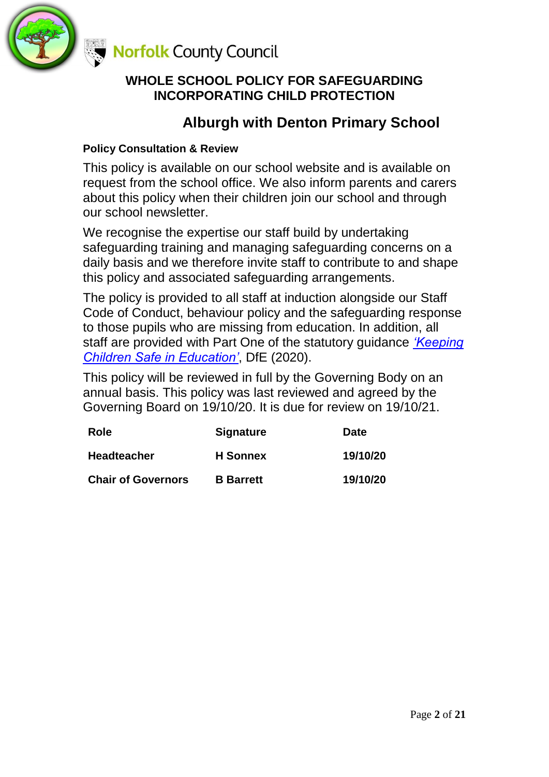

### **WHOLE SCHOOL POLICY FOR SAFEGUARDING INCORPORATING CHILD PROTECTION**

## **Alburgh with Denton Primary School**

### **Policy Consultation & Review**

This policy is available on our school website and is available on request from the school office. We also inform parents and carers about this policy when their children join our school and through our school newsletter.

We recognise the expertise our staff build by undertaking safeguarding training and managing safeguarding concerns on a daily basis and we therefore invite staff to contribute to and shape this policy and associated safeguarding arrangements.

The policy is provided to all staff at induction alongside our Staff Code of Conduct, behaviour policy and the safeguarding response to those pupils who are missing from education. In addition, all staff are provided with Part One of the statutory guidance *['Keeping](https://www.gov.uk/government/publications/keeping-children-safe-in-education--2)  [Children Safe in Education'](https://www.gov.uk/government/publications/keeping-children-safe-in-education--2)*, DfE (2020).

This policy will be reviewed in full by the Governing Body on an annual basis. This policy was last reviewed and agreed by the Governing Board on 19/10/20. It is due for review on 19/10/21.

| Role                      | <b>Signature</b> | Date     |
|---------------------------|------------------|----------|
| <b>Headteacher</b>        | <b>H</b> Sonnex  | 19/10/20 |
| <b>Chair of Governors</b> | <b>B</b> Barrett | 19/10/20 |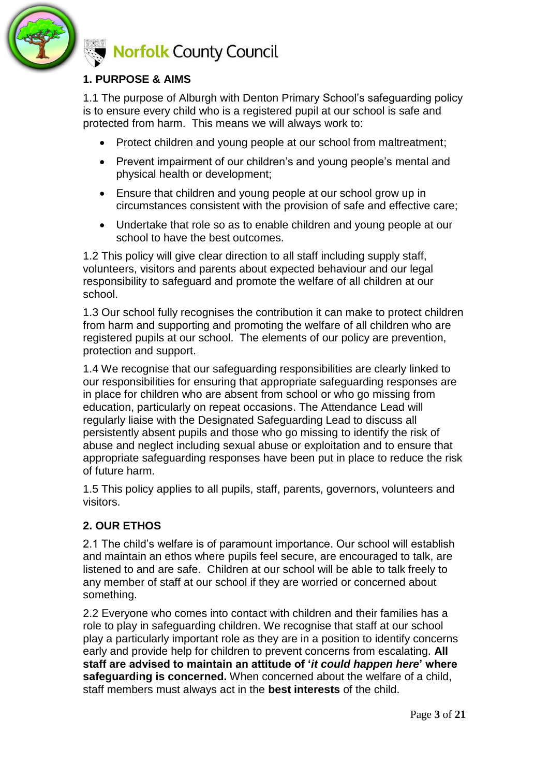

### **1. PURPOSE & AIMS**

1.1 The purpose of Alburgh with Denton Primary School's safeguarding policy is to ensure every child who is a registered pupil at our school is safe and protected from harm. This means we will always work to:

- Protect children and young people at our school from maltreatment;
- Prevent impairment of our children's and young people's mental and physical health or development;
- Ensure that children and young people at our school grow up in circumstances consistent with the provision of safe and effective care;
- Undertake that role so as to enable children and young people at our school to have the best outcomes.

1.2 This policy will give clear direction to all staff including supply staff, volunteers, visitors and parents about expected behaviour and our legal responsibility to safeguard and promote the welfare of all children at our school.

1.3 Our school fully recognises the contribution it can make to protect children from harm and supporting and promoting the welfare of all children who are registered pupils at our school. The elements of our policy are prevention, protection and support.

1.4 We recognise that our safeguarding responsibilities are clearly linked to our responsibilities for ensuring that appropriate safeguarding responses are in place for children who are absent from school or who go missing from education, particularly on repeat occasions. The Attendance Lead will regularly liaise with the Designated Safeguarding Lead to discuss all persistently absent pupils and those who go missing to identify the risk of abuse and neglect including sexual abuse or exploitation and to ensure that appropriate safeguarding responses have been put in place to reduce the risk of future harm.

1.5 This policy applies to all pupils, staff, parents, governors, volunteers and visitors.

### **2. OUR ETHOS**

2.1 The child's welfare is of paramount importance. Our school will establish and maintain an ethos where pupils feel secure, are encouraged to talk, are listened to and are safe. Children at our school will be able to talk freely to any member of staff at our school if they are worried or concerned about something.

2.2 Everyone who comes into contact with children and their families has a role to play in safeguarding children. We recognise that staff at our school play a particularly important role as they are in a position to identify concerns early and provide help for children to prevent concerns from escalating. **All staff are advised to maintain an attitude of '***it could happen here***' where safeguarding is concerned.** When concerned about the welfare of a child, staff members must always act in the **best interests** of the child.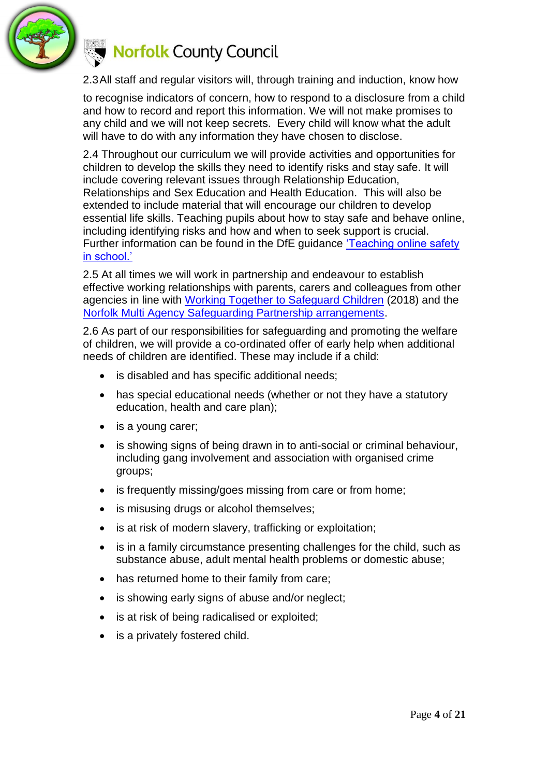

2.3All staff and regular visitors will, through training and induction, know how

to recognise indicators of concern, how to respond to a disclosure from a child and how to record and report this information. We will not make promises to any child and we will not keep secrets. Every child will know what the adult will have to do with any information they have chosen to disclose.

2.4 Throughout our curriculum we will provide activities and opportunities for children to develop the skills they need to identify risks and stay safe. It will include covering relevant issues through Relationship Education, Relationships and Sex Education and Health Education. This will also be extended to include material that will encourage our children to develop essential life skills. Teaching pupils about how to stay safe and behave online, including identifying risks and how and when to seek support is crucial. Further information can be found in the DfE guidance ['Teaching online safety](https://www.gov.uk/government/publications/teaching-online-safety-in-schools)  [in school.'](https://www.gov.uk/government/publications/teaching-online-safety-in-schools)

2.5 At all times we will work in partnership and endeavour to establish effective working relationships with parents, carers and colleagues from other agencies in line with [Working Together to Safeguard Children](https://www.gov.uk/government/publications/working-together-to-safeguard-children--2) (2018) and the [Norfolk Multi Agency Safeguarding Partnership arrangements.](https://www.norfolklscb.org/about/multi-agency-safeguarding-arrangements-masa-2019/)

2.6 As part of our responsibilities for safeguarding and promoting the welfare of children, we will provide a co-ordinated offer of early help when additional needs of children are identified. These may include if a child:

- is disabled and has specific additional needs;
- has special educational needs (whether or not they have a statutory education, health and care plan);
- is a young carer;
- is showing signs of being drawn in to anti-social or criminal behaviour, including gang involvement and association with organised crime groups;
- is frequently missing/goes missing from care or from home;
- is misusing drugs or alcohol themselves;
- is at risk of modern slavery, trafficking or exploitation;
- is in a family circumstance presenting challenges for the child, such as substance abuse, adult mental health problems or domestic abuse;
- has returned home to their family from care;
- is showing early signs of abuse and/or neglect;
- is at risk of being radicalised or exploited;
- is a privately fostered child.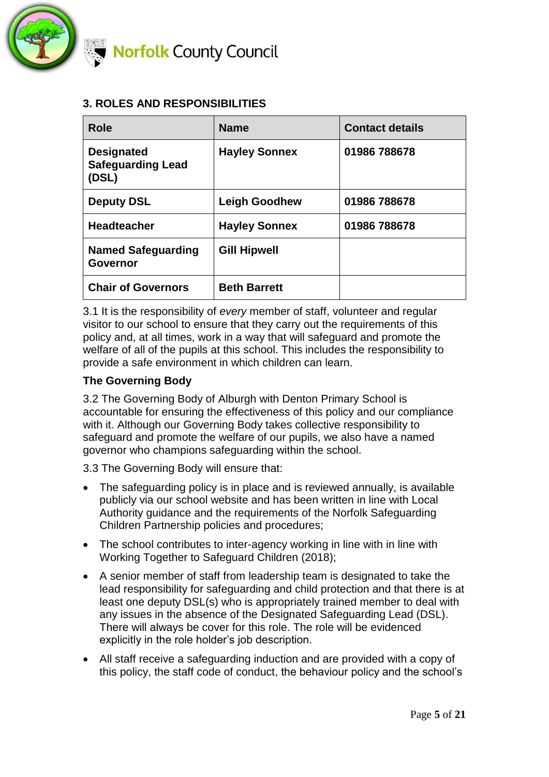

#### **3. ROLES AND RESPONSIBILITIES**

| Role                                                   | <b>Name</b>          | <b>Contact details</b> |
|--------------------------------------------------------|----------------------|------------------------|
| <b>Designated</b><br><b>Safeguarding Lead</b><br>(DSL) | <b>Hayley Sonnex</b> | 01986 788678           |
| <b>Deputy DSL</b>                                      | <b>Leigh Goodhew</b> | 01986 788678           |
| <b>Headteacher</b>                                     | <b>Hayley Sonnex</b> | 01986 788678           |
| <b>Named Safeguarding</b><br><b>Governor</b>           | <b>Gill Hipwell</b>  |                        |
| <b>Chair of Governors</b>                              | <b>Beth Barrett</b>  |                        |

3.1 It is the responsibility of *every* member of staff, volunteer and regular visitor to our school to ensure that they carry out the requirements of this policy and, at all times, work in a way that will safeguard and promote the welfare of all of the pupils at this school. This includes the responsibility to provide a safe environment in which children can learn.

#### **The Governing Body**

3.2 The Governing Body of Alburgh with Denton Primary School is accountable for ensuring the effectiveness of this policy and our compliance with it. Although our Governing Body takes collective responsibility to safeguard and promote the welfare of our pupils, we also have a named governor who champions safeguarding within the school.

3.3 The Governing Body will ensure that:

- The safeguarding policy is in place and is reviewed annually, is available publicly via our school website and has been written in line with Local Authority guidance and the requirements of the Norfolk Safeguarding Children Partnership policies and procedures;
- The school contributes to inter-agency working in line with in line with Working Together to Safeguard Children (2018);
- A senior member of staff from leadership team is designated to take the lead responsibility for safeguarding and child protection and that there is at least one deputy DSL(s) who is appropriately trained member to deal with any issues in the absence of the Designated Safeguarding Lead (DSL). There will always be cover for this role. The role will be evidenced explicitly in the role holder's job description.
- All staff receive a safeguarding induction and are provided with a copy of this policy, the staff code of conduct, the behaviour policy and the school's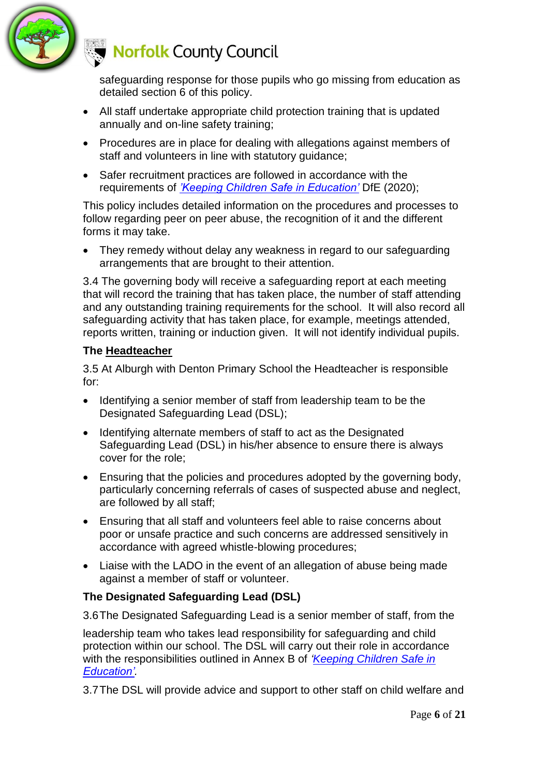

safeguarding response for those pupils who go missing from education as detailed section 6 of this policy.

- All staff undertake appropriate child protection training that is updated annually and on-line safety training;
- Procedures are in place for dealing with allegations against members of staff and volunteers in line with statutory guidance;
- Safer recruitment practices are followed in accordance with the requirements of *['Keeping Children Safe in Education'](https://www.gov.uk/government/publications/keeping-children-safe-in-education--2)* DfE (2020);

This policy includes detailed information on the procedures and processes to follow regarding peer on peer abuse, the recognition of it and the different forms it may take.

• They remedy without delay any weakness in regard to our safeguarding arrangements that are brought to their attention.

3.4 The governing body will receive a safeguarding report at each meeting that will record the training that has taken place, the number of staff attending and any outstanding training requirements for the school. It will also record all safeguarding activity that has taken place, for example, meetings attended, reports written, training or induction given. It will not identify individual pupils.

#### **The Headteacher**

3.5 At Alburgh with Denton Primary School the Headteacher is responsible for:

- Identifying a senior member of staff from leadership team to be the Designated Safeguarding Lead (DSL);
- Identifying alternate members of staff to act as the Designated Safeguarding Lead (DSL) in his/her absence to ensure there is always cover for the role;
- Ensuring that the policies and procedures adopted by the governing body, particularly concerning referrals of cases of suspected abuse and neglect, are followed by all staff;
- Ensuring that all staff and volunteers feel able to raise concerns about poor or unsafe practice and such concerns are addressed sensitively in accordance with agreed whistle-blowing procedures;
- Liaise with the LADO in the event of an allegation of abuse being made against a member of staff or volunteer.

### **The Designated Safeguarding Lead (DSL)**

3.6The Designated Safeguarding Lead is a senior member of staff, from the

leadership team who takes lead responsibility for safeguarding and child protection within our school. The DSL will carry out their role in accordance with the responsibilities outlined in Annex B of *['Keeping Children Safe in](https://www.gov.uk/government/publications/keeping-children-safe-in-education--2)  [Education'.](https://www.gov.uk/government/publications/keeping-children-safe-in-education--2)* 

3.7The DSL will provide advice and support to other staff on child welfare and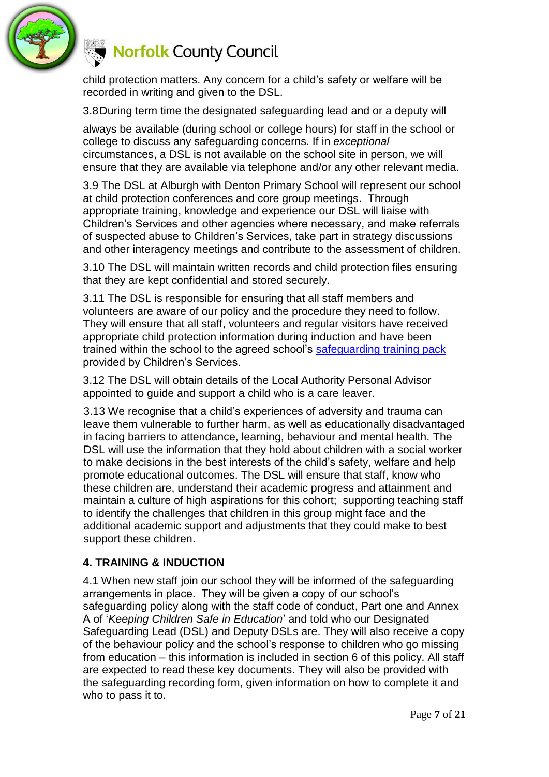

child protection matters. Any concern for a child's safety or welfare will be recorded in writing and given to the DSL.

3.8During term time the designated safeguarding lead and or a deputy will

always be available (during school or college hours) for staff in the school or college to discuss any safeguarding concerns. If in *exceptional* circumstances, a DSL is not available on the school site in person, we will ensure that they are available via telephone and/or any other relevant media.

3.9 The DSL at Alburgh with Denton Primary School will represent our school at child protection conferences and core group meetings. Through appropriate training, knowledge and experience our DSL will liaise with Children's Services and other agencies where necessary, and make referrals of suspected abuse to Children's Services, take part in strategy discussions and other interagency meetings and contribute to the assessment of children.

3.10 The DSL will maintain written records and child protection files ensuring that they are kept confidential and stored securely.

3.11 The DSL is responsible for ensuring that all staff members and volunteers are aware of our policy and the procedure they need to follow. They will ensure that all staff, volunteers and regular visitors have received appropriate child protection information during induction and have been trained within the school to the agreed school's [safeguarding training pack](http://www.schools.norfolk.gov.uk/behaviour-and-safety/safeguarding/training/ncc096606) provided by Children's Services.

3.12 The DSL will obtain details of the Local Authority Personal Advisor appointed to guide and support a child who is a care leaver.

3.13 We recognise that a child's experiences of adversity and trauma can leave them vulnerable to further harm, as well as educationally disadvantaged in facing barriers to attendance, learning, behaviour and mental health. The DSL will use the information that they hold about children with a social worker to make decisions in the best interests of the child's safety, welfare and help promote educational outcomes. The DSL will ensure that staff, know who these children are, understand their academic progress and attainment and maintain a culture of high aspirations for this cohort; supporting teaching staff to identify the challenges that children in this group might face and the additional academic support and adjustments that they could make to best support these children.

#### **4. TRAINING & INDUCTION**

4.1 When new staff join our school they will be informed of the safeguarding arrangements in place. They will be given a copy of our school's safeguarding policy along with the staff code of conduct, Part one and Annex A of '*Keeping Children Safe in Education*' and told who our Designated Safeguarding Lead (DSL) and Deputy DSLs are. They will also receive a copy of the behaviour policy and the school's response to children who go missing from education – this information is included in section 6 of this policy. All staff are expected to read these key documents. They will also be provided with the safeguarding recording form, given information on how to complete it and who to pass it to.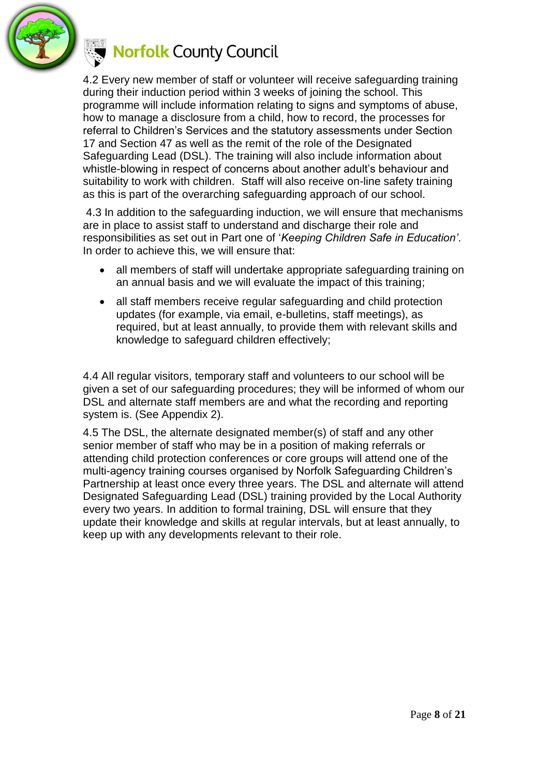

4.2 Every new member of staff or volunteer will receive safeguarding training during their induction period within 3 weeks of joining the school. This programme will include information relating to signs and symptoms of abuse, how to manage a disclosure from a child, how to record, the processes for referral to Children's Services and the statutory assessments under Section 17 and Section 47 as well as the remit of the role of the Designated Safeguarding Lead (DSL). The training will also include information about whistle-blowing in respect of concerns about another adult's behaviour and suitability to work with children. Staff will also receive on-line safety training as this is part of the overarching safeguarding approach of our school.

4.3 In addition to the safeguarding induction, we will ensure that mechanisms are in place to assist staff to understand and discharge their role and responsibilities as set out in Part one of '*Keeping Children Safe in Education'*. In order to achieve this, we will ensure that:

- all members of staff will undertake appropriate safeguarding training on an annual basis and we will evaluate the impact of this training;
- all staff members receive regular safeguarding and child protection updates (for example, via email, e-bulletins, staff meetings), as required, but at least annually, to provide them with relevant skills and knowledge to safeguard children effectively;

4.4 All regular visitors, temporary staff and volunteers to our school will be given a set of our safeguarding procedures; they will be informed of whom our DSL and alternate staff members are and what the recording and reporting system is. (See Appendix 2).

4.5 The DSL, the alternate designated member(s) of staff and any other senior member of staff who may be in a position of making referrals or attending child protection conferences or core groups will attend one of the multi-agency training courses organised by Norfolk Safeguarding Children's Partnership at least once every three years. The DSL and alternate will attend Designated Safeguarding Lead (DSL) training provided by the Local Authority every two years. In addition to formal training, DSL will ensure that they update their knowledge and skills at regular intervals, but at least annually, to keep up with any developments relevant to their role.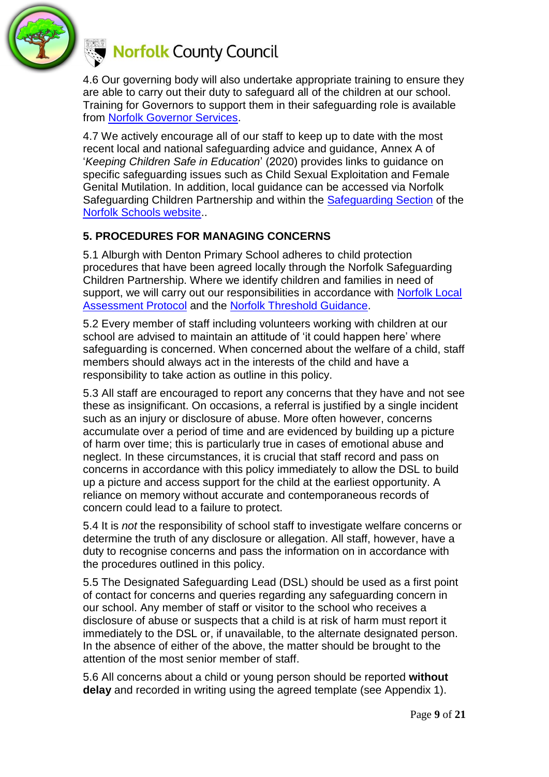

4.6 Our governing body will also undertake appropriate training to ensure they are able to carry out their duty to safeguard all of the children at our school. Training for Governors to support them in their safeguarding role is available from [Norfolk Governor Services.](https://www.schools.norfolk.gov.uk/school-management/governors)

4.7 We actively encourage all of our staff to keep up to date with the most recent local and national safeguarding advice and guidance, Annex A of '*Keeping Children Safe in Education*' (2020) provides links to guidance on specific safeguarding issues such as Child Sexual Exploitation and Female Genital Mutilation. In addition, local guidance can be accessed via Norfolk Safeguarding Children Partnership and within the [Safeguarding Section](https://www.schools.norfolk.gov.uk/pupil-safety-and-behaviour/safeguarding) of the [Norfolk Schools website.](https://www.schools.norfolk.gov.uk/).

#### **5. PROCEDURES FOR MANAGING CONCERNS**

5.1 Alburgh with Denton Primary School adheres to child protection procedures that have been agreed locally through the Norfolk Safeguarding Children Partnership. Where we identify children and families in need of support, we will carry out our responsibilities in accordance with Norfolk Local [Assessment Protocol](https://www.norfolklscb.org/about/policies-procedures/3-3-norfolk-local-assessment-protocol/) and the Norfolk [Threshold Guidance.](https://www.norfolklscb.org/people-working-with-children/threshold-guide/)

5.2 Every member of staff including volunteers working with children at our school are advised to maintain an attitude of 'it could happen here' where safeguarding is concerned. When concerned about the welfare of a child, staff members should always act in the interests of the child and have a responsibility to take action as outline in this policy.

5.3 All staff are encouraged to report any concerns that they have and not see these as insignificant. On occasions, a referral is justified by a single incident such as an injury or disclosure of abuse. More often however, concerns accumulate over a period of time and are evidenced by building up a picture of harm over time; this is particularly true in cases of emotional abuse and neglect. In these circumstances, it is crucial that staff record and pass on concerns in accordance with this policy immediately to allow the DSL to build up a picture and access support for the child at the earliest opportunity. A reliance on memory without accurate and contemporaneous records of concern could lead to a failure to protect.

5.4 It is *not* the responsibility of school staff to investigate welfare concerns or determine the truth of any disclosure or allegation. All staff, however, have a duty to recognise concerns and pass the information on in accordance with the procedures outlined in this policy.

5.5 The Designated Safeguarding Lead (DSL) should be used as a first point of contact for concerns and queries regarding any safeguarding concern in our school. Any member of staff or visitor to the school who receives a disclosure of abuse or suspects that a child is at risk of harm must report it immediately to the DSL or, if unavailable, to the alternate designated person. In the absence of either of the above, the matter should be brought to the attention of the most senior member of staff.

5.6 All concerns about a child or young person should be reported **without delay** and recorded in writing using the agreed template (see Appendix 1).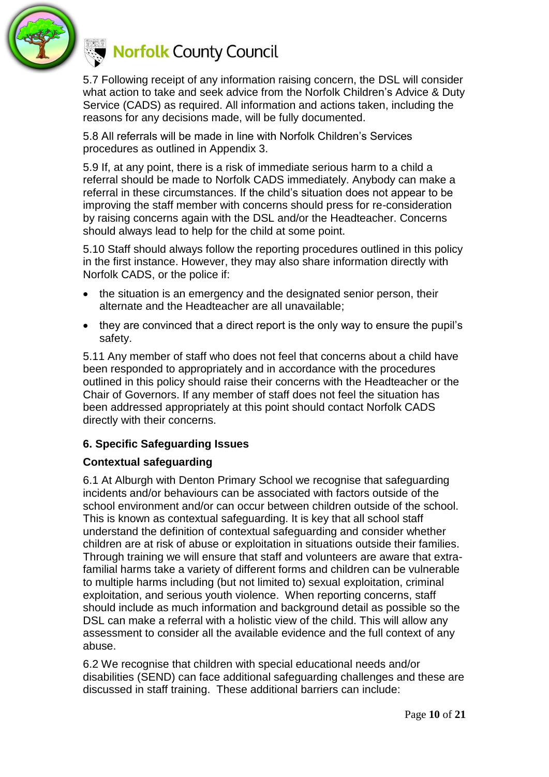

5.7 Following receipt of any information raising concern, the DSL will consider what action to take and seek advice from the Norfolk Children's Advice & Duty Service (CADS) as required. All information and actions taken, including the reasons for any decisions made, will be fully documented.

5.8 All referrals will be made in line with Norfolk Children's Services procedures as outlined in Appendix 3.

5.9 If, at any point, there is a risk of immediate serious harm to a child a referral should be made to Norfolk CADS immediately. Anybody can make a referral in these circumstances. If the child's situation does not appear to be improving the staff member with concerns should press for re-consideration by raising concerns again with the DSL and/or the Headteacher. Concerns should always lead to help for the child at some point.

5.10 Staff should always follow the reporting procedures outlined in this policy in the first instance. However, they may also share information directly with Norfolk CADS, or the police if:

- the situation is an emergency and the designated senior person, their alternate and the Headteacher are all unavailable;
- they are convinced that a direct report is the only way to ensure the pupil's safety.

5.11 Any member of staff who does not feel that concerns about a child have been responded to appropriately and in accordance with the procedures outlined in this policy should raise their concerns with the Headteacher or the Chair of Governors. If any member of staff does not feel the situation has been addressed appropriately at this point should contact Norfolk CADS directly with their concerns.

### **6. Specific Safeguarding Issues**

### **Contextual safeguarding**

6.1 At Alburgh with Denton Primary School we recognise that safeguarding incidents and/or behaviours can be associated with factors outside of the school environment and/or can occur between children outside of the school. This is known as contextual safeguarding. It is key that all school staff understand the definition of contextual safeguarding and consider whether children are at risk of abuse or exploitation in situations outside their families. Through training we will ensure that staff and volunteers are aware that extrafamilial harms take a variety of different forms and children can be vulnerable to multiple harms including (but not limited to) sexual exploitation, criminal exploitation, and serious youth violence. When reporting concerns, staff should include as much information and background detail as possible so the DSL can make a referral with a holistic view of the child. This will allow any assessment to consider all the available evidence and the full context of any abuse.

6.2 We recognise that children with special educational needs and/or disabilities (SEND) can face additional safeguarding challenges and these are discussed in staff training. These additional barriers can include: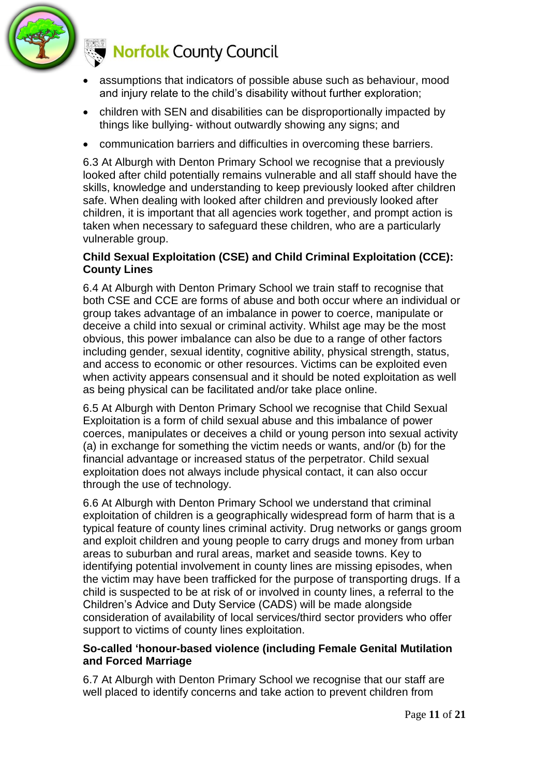

- assumptions that indicators of possible abuse such as behaviour, mood and injury relate to the child's disability without further exploration;
- children with SEN and disabilities can be disproportionally impacted by things like bullying- without outwardly showing any signs; and
- communication barriers and difficulties in overcoming these barriers.

6.3 At Alburgh with Denton Primary School we recognise that a previously looked after child potentially remains vulnerable and all staff should have the skills, knowledge and understanding to keep previously looked after children safe. When dealing with looked after children and previously looked after children, it is important that all agencies work together, and prompt action is taken when necessary to safeguard these children, who are a particularly vulnerable group.

#### **Child Sexual Exploitation (CSE) and Child Criminal Exploitation (CCE): County Lines**

6.4 At Alburgh with Denton Primary School we train staff to recognise that both CSE and CCE are forms of abuse and both occur where an individual or group takes advantage of an imbalance in power to coerce, manipulate or deceive a child into sexual or criminal activity. Whilst age may be the most obvious, this power imbalance can also be due to a range of other factors including gender, sexual identity, cognitive ability, physical strength, status, and access to economic or other resources. Victims can be exploited even when activity appears consensual and it should be noted exploitation as well as being physical can be facilitated and/or take place online.

6.5 At Alburgh with Denton Primary School we recognise that Child Sexual Exploitation is a form of child sexual abuse and this imbalance of power coerces, manipulates or deceives a child or young person into sexual activity (a) in exchange for something the victim needs or wants, and/or (b) for the financial advantage or increased status of the perpetrator. Child sexual exploitation does not always include physical contact, it can also occur through the use of technology.

6.6 At Alburgh with Denton Primary School we understand that criminal exploitation of children is a geographically widespread form of harm that is a typical feature of county lines criminal activity. Drug networks or gangs groom and exploit children and young people to carry drugs and money from urban areas to suburban and rural areas, market and seaside towns. Key to identifying potential involvement in county lines are missing episodes, when the victim may have been trafficked for the purpose of transporting drugs. If a child is suspected to be at risk of or involved in county lines, a referral to the Children's Advice and Duty Service (CADS) will be made alongside consideration of availability of local services/third sector providers who offer support to victims of county lines exploitation.

#### **So-called 'honour-based violence (including Female Genital Mutilation and Forced Marriage**

6.7 At Alburgh with Denton Primary School we recognise that our staff are well placed to identify concerns and take action to prevent children from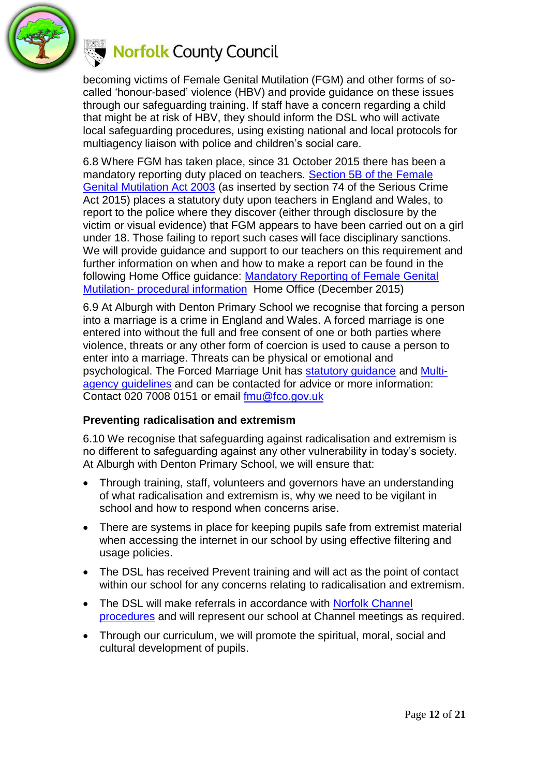

becoming victims of Female Genital Mutilation (FGM) and other forms of socalled 'honour-based' violence (HBV) and provide guidance on these issues through our safeguarding training. If staff have a concern regarding a child that might be at risk of HBV, they should inform the DSL who will activate local safeguarding procedures, using existing national and local protocols for multiagency liaison with police and children's social care.

6.8 Where FGM has taken place, since 31 October 2015 there has been a mandatory reporting duty placed on teachers. Section 5B of the Female [Genital Mutilation Act 2003](http://www.legislation.gov.uk/ukpga/2003/31/section/5B) (as inserted by section 74 of the Serious Crime Act 2015) places a statutory duty upon teachers in England and Wales, to report to the police where they discover (either through disclosure by the victim or visual evidence) that FGM appears to have been carried out on a girl under 18. Those failing to report such cases will face disciplinary sanctions. We will provide guidance and support to our teachers on this requirement and further information on when and how to make a report can be found in the following Home Office guidance: [Mandatory Reporting of Female Genital](https://www.gov.uk/government/publications/mandatory-reporting-of-female-genital-mutilation-procedural-information)  Mutilation- [procedural information](https://www.gov.uk/government/publications/mandatory-reporting-of-female-genital-mutilation-procedural-information) Home Office (December 2015)

6.9 At Alburgh with Denton Primary School we recognise that forcing a person into a marriage is a crime in England and Wales. A forced marriage is one entered into without the full and free consent of one or both parties where violence, threats or any other form of coercion is used to cause a person to enter into a marriage. Threats can be physical or emotional and psychological. The Forced Marriage Unit has [statutory guidance](https://www.gov.uk/guidance/forced-marriage) and [Multi](https://assets.publishing.service.gov.uk/government/uploads/system/uploads/attachment_data/file/322307/HMG_MULTI_AGENCY_PRACTICE_GUIDELINES_v1_180614_FINAL.pdf)[agency guidelines](https://assets.publishing.service.gov.uk/government/uploads/system/uploads/attachment_data/file/322307/HMG_MULTI_AGENCY_PRACTICE_GUIDELINES_v1_180614_FINAL.pdf) and can be contacted for advice or more information: Contact 020 7008 0151 or email [fmu@fco.gov.uk](mailto:fmu@fco.gov.uk)

#### **Preventing radicalisation and extremism**

6.10 We recognise that safeguarding against radicalisation and extremism is no different to safeguarding against any other vulnerability in today's society*.*  At Alburgh with Denton Primary School, we will ensure that:

- Through training, staff, volunteers and governors have an understanding of what radicalisation and extremism is, why we need to be vigilant in school and how to respond when concerns arise.
- There are systems in place for keeping pupils safe from extremist material when accessing the internet in our school by using effective filtering and usage policies.
- The DSL has received Prevent training and will act as the point of contact within our school for any concerns relating to radicalisation and extremism.
- The DSL will make referrals in accordance with Norfolk Channel [procedures](http://www.norfolklscb.org/wp-content/uploads/2016/05/Channel-Norfolk-SOP-April-2016.doc) and will represent our school at Channel meetings as required.
- Through our curriculum, we will promote the spiritual, moral, social and cultural development of pupils.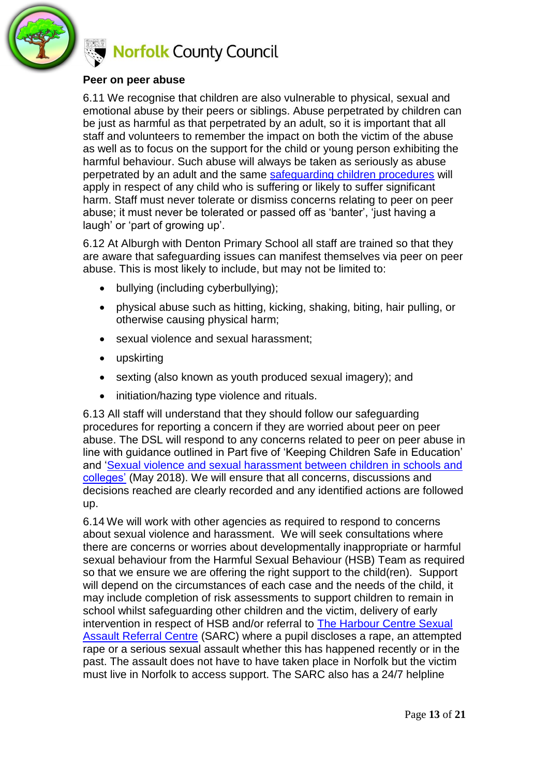

#### **Peer on peer abuse**

6.11 We recognise that children are also vulnerable to physical, sexual and emotional abuse by their peers or siblings. Abuse perpetrated by children can be just as harmful as that perpetrated by an adult, so it is important that all staff and volunteers to remember the impact on both the victim of the abuse as well as to focus on the support for the child or young person exhibiting the harmful behaviour. Such abuse will always be taken as seriously as abuse perpetrated by an adult and the same [safeguarding children procedures](http://www.norfolklscb.org/about/policies-procedures/policies-and-procedures/) will apply in respect of any child who is suffering or likely to suffer significant harm. Staff must never tolerate or dismiss concerns relating to peer on peer abuse; it must never be tolerated or passed off as 'banter', 'just having a laugh' or 'part of growing up'.

6.12 At Alburgh with Denton Primary School all staff are trained so that they are aware that safeguarding issues can manifest themselves via peer on peer abuse. This is most likely to include, but may not be limited to:

- bullying (including cyberbullying);
- physical abuse such as hitting, kicking, shaking, biting, hair pulling, or otherwise causing physical harm;
- sexual violence and sexual harassment;
- upskirting
- sexting (also known as youth produced sexual imagery); and
- initiation/hazing type violence and rituals.

6.13 All staff will understand that they should follow our safeguarding procedures for reporting a concern if they are worried about peer on peer abuse. The DSL will respond to any concerns related to peer on peer abuse in line with guidance outlined in Part five of 'Keeping Children Safe in Education' and ['Sexual violence and sexual harassment between children in schools and](https://www.gov.uk/government/uploads/system/uploads/attachment_data/file/719902/Sexual_violence_and_sexual_harassment_between_children_in_schools_and_colleges.pdf)  [colleges'](https://www.gov.uk/government/uploads/system/uploads/attachment_data/file/719902/Sexual_violence_and_sexual_harassment_between_children_in_schools_and_colleges.pdf) (May 2018). We will ensure that all concerns, discussions and decisions reached are clearly recorded and any identified actions are followed up.

6.14 We will work with other agencies as required to respond to concerns about sexual violence and harassment. We will seek consultations where there are concerns or worries about developmentally inappropriate or harmful sexual behaviour from the Harmful Sexual Behaviour (HSB) Team as required so that we ensure we are offering the right support to the child(ren). Support will depend on the circumstances of each case and the needs of the child, it may include completion of risk assessments to support children to remain in school whilst safeguarding other children and the victim, delivery of early intervention in respect of HSB and/or referral to [The Harbour Centre Sexual](https://www.theharbourcentre.co.uk/)  [Assault Referral Centre](https://www.theharbourcentre.co.uk/) (SARC) where a pupil discloses a rape, an attempted rape or a serious sexual assault whether this has happened recently or in the past. The assault does not have to have taken place in Norfolk but the victim must live in Norfolk to access support. The SARC also has a 24/7 helpline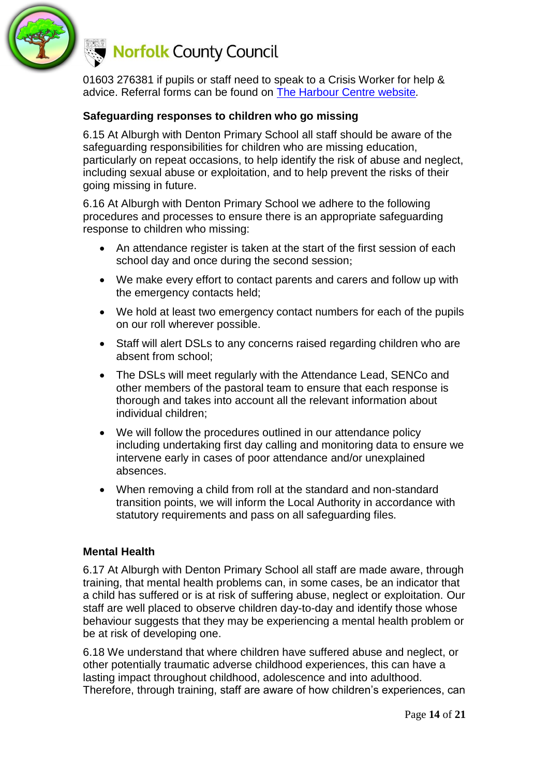

01603 276381 if pupils or staff need to speak to a Crisis Worker for help & advice. Referral forms can be found on [The Harbour Centre website](https://www.theharbourcentre.co.uk/)*.*

#### **Safeguarding responses to children who go missing**

6.15 At Alburgh with Denton Primary School all staff should be aware of the safeguarding responsibilities for children who are missing education, particularly on repeat occasions, to help identify the risk of abuse and neglect, including sexual abuse or exploitation, and to help prevent the risks of their going missing in future.

6.16 At Alburgh with Denton Primary School we adhere to the following procedures and processes to ensure there is an appropriate safeguarding response to children who missing:

- An attendance register is taken at the start of the first session of each school day and once during the second session;
- We make every effort to contact parents and carers and follow up with the emergency contacts held;
- We hold at least two emergency contact numbers for each of the pupils on our roll wherever possible.
- Staff will alert DSLs to any concerns raised regarding children who are absent from school;
- The DSLs will meet regularly with the Attendance Lead, SENCo and other members of the pastoral team to ensure that each response is thorough and takes into account all the relevant information about individual children;
- We will follow the procedures outlined in our attendance policy including undertaking first day calling and monitoring data to ensure we intervene early in cases of poor attendance and/or unexplained absences.
- When removing a child from roll at the standard and non-standard transition points, we will inform the Local Authority in accordance with statutory requirements and pass on all safeguarding files.

#### **Mental Health**

6.17 At Alburgh with Denton Primary School all staff are made aware, through training, that mental health problems can, in some cases, be an indicator that a child has suffered or is at risk of suffering abuse, neglect or exploitation. Our staff are well placed to observe children day-to-day and identify those whose behaviour suggests that they may be experiencing a mental health problem or be at risk of developing one.

6.18 We understand that where children have suffered abuse and neglect, or other potentially traumatic adverse childhood experiences, this can have a lasting impact throughout childhood, adolescence and into adulthood. Therefore, through training, staff are aware of how children's experiences, can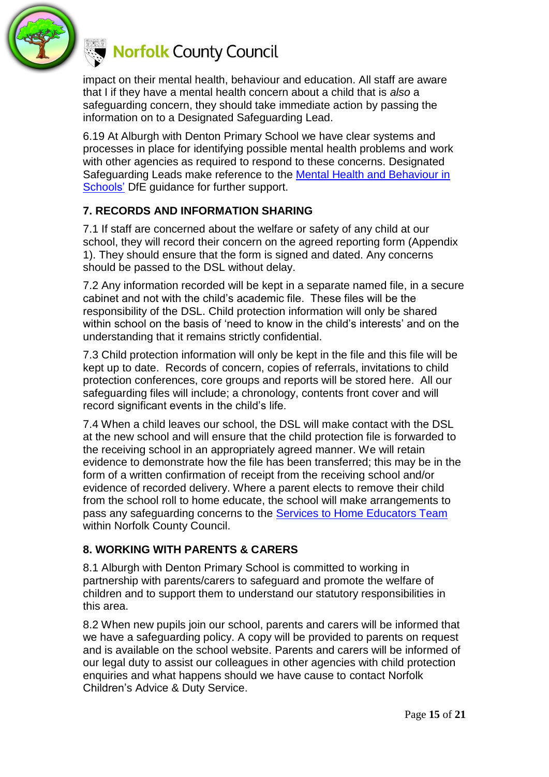

impact on their mental health, behaviour and education. All staff are aware that I if they have a mental health concern about a child that is *also* a safeguarding concern, they should take immediate action by passing the information on to a Designated Safeguarding Lead.

6.19 At Alburgh with Denton Primary School we have clear systems and processes in place for identifying possible mental health problems and work with other agencies as required to respond to these concerns. Designated Safeguarding Leads make reference to the [Mental Health and Behaviour in](https://www.gov.uk/government/publications/mental-health-and-behaviour-in-schools--2)  [Schools'](https://www.gov.uk/government/publications/mental-health-and-behaviour-in-schools--2) DfE guidance for further support.

#### **7. RECORDS AND INFORMATION SHARING**

7.1 If staff are concerned about the welfare or safety of any child at our school, they will record their concern on the agreed reporting form (Appendix 1). They should ensure that the form is signed and dated. Any concerns should be passed to the DSL without delay.

7.2 Any information recorded will be kept in a separate named file, in a secure cabinet and not with the child's academic file. These files will be the responsibility of the DSL. Child protection information will only be shared within school on the basis of 'need to know in the child's interests' and on the understanding that it remains strictly confidential.

7.3 Child protection information will only be kept in the file and this file will be kept up to date. Records of concern, copies of referrals, invitations to child protection conferences, core groups and reports will be stored here. All our safeguarding files will include; a chronology, contents front cover and will record significant events in the child's life.

7.4 When a child leaves our school, the DSL will make contact with the DSL at the new school and will ensure that the child protection file is forwarded to the receiving school in an appropriately agreed manner. We will retain evidence to demonstrate how the file has been transferred; this may be in the form of a written confirmation of receipt from the receiving school and/or evidence of recorded delivery. Where a parent elects to remove their child from the school roll to home educate, the school will make arrangements to pass any safeguarding concerns to the [Services to Home Educators Team](https://www.schools.norfolk.gov.uk/pupil-needs/home-education) within Norfolk County Council.

#### **8. WORKING WITH PARENTS & CARERS**

8.1 Alburgh with Denton Primary School is committed to working in partnership with parents/carers to safeguard and promote the welfare of children and to support them to understand our statutory responsibilities in this area.

8.2 When new pupils join our school, parents and carers will be informed that we have a safeguarding policy. A copy will be provided to parents on request and is available on the school website. Parents and carers will be informed of our legal duty to assist our colleagues in other agencies with child protection enquiries and what happens should we have cause to contact Norfolk Children's Advice & Duty Service.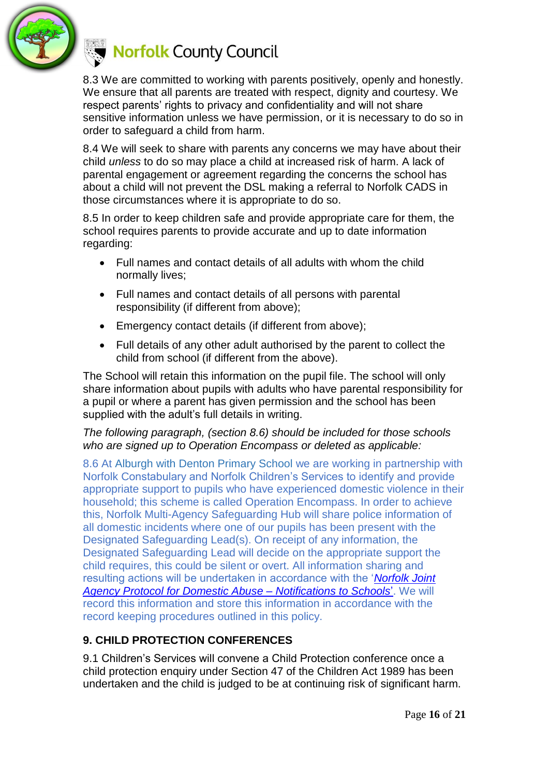

8.3 We are committed to working with parents positively, openly and honestly. We ensure that all parents are treated with respect, dignity and courtesy. We respect parents' rights to privacy and confidentiality and will not share sensitive information unless we have permission, or it is necessary to do so in order to safeguard a child from harm.

8.4 We will seek to share with parents any concerns we may have about their child *unless* to do so may place a child at increased risk of harm. A lack of parental engagement or agreement regarding the concerns the school has about a child will not prevent the DSL making a referral to Norfolk CADS in those circumstances where it is appropriate to do so.

8.5 In order to keep children safe and provide appropriate care for them, the school requires parents to provide accurate and up to date information regarding:

- Full names and contact details of all adults with whom the child normally lives;
- Full names and contact details of all persons with parental responsibility (if different from above);
- Emergency contact details (if different from above);
- Full details of any other adult authorised by the parent to collect the child from school (if different from the above).

The School will retain this information on the pupil file. The school will only share information about pupils with adults who have parental responsibility for a pupil or where a parent has given permission and the school has been supplied with the adult's full details in writing.

#### *The following paragraph, (section 8.6) should be included for those schools who are signed up to Operation Encompass or deleted as applicable:*

8.6 At Alburgh with Denton Primary School we are working in partnership with Norfolk Constabulary and Norfolk Children's Services to identify and provide appropriate support to pupils who have experienced domestic violence in their household; this scheme is called Operation Encompass. In order to achieve this, Norfolk Multi-Agency Safeguarding Hub will share police information of all domestic incidents where one of our pupils has been present with the Designated Safeguarding Lead(s). On receipt of any information, the Designated Safeguarding Lead will decide on the appropriate support the child requires, this could be silent or overt. All information sharing and resulting actions will be undertaken in accordance with the '*[Norfolk Joint](https://www.schools.norfolk.gov.uk/-/media/schools/files/pupil-safety-and-behaviour/safeguarding/operation-encompass/norfolk-joint-agency-protocol-for-domestic-abuse-notifications-to-schools.pdf) [Agency Protocol for Domestic Abuse –](https://www.schools.norfolk.gov.uk/-/media/schools/files/pupil-safety-and-behaviour/safeguarding/operation-encompass/norfolk-joint-agency-protocol-for-domestic-abuse-notifications-to-schools.pdf) Notifications to Schools*'. We will record this information and store this information in accordance with the record keeping procedures outlined in this policy.

### **9. CHILD PROTECTION CONFERENCES**

9.1 Children's Services will convene a Child Protection conference once a child protection enquiry under Section 47 of the Children Act 1989 has been undertaken and the child is judged to be at continuing risk of significant harm.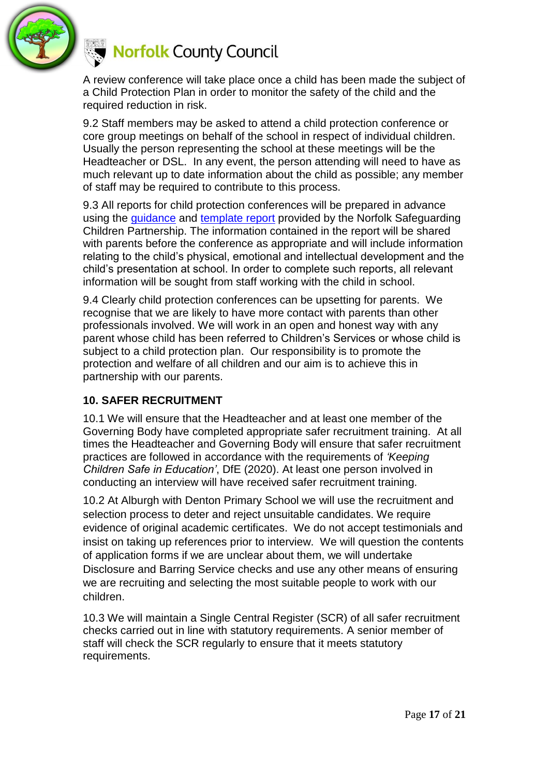

A review conference will take place once a child has been made the subject of a Child Protection Plan in order to monitor the safety of the child and the required reduction in risk.

9.2 Staff members may be asked to attend a child protection conference or core group meetings on behalf of the school in respect of individual children. Usually the person representing the school at these meetings will be the Headteacher or DSL. In any event, the person attending will need to have as much relevant up to date information about the child as possible; any member of staff may be required to contribute to this process.

9.3 All reports for child protection conferences will be prepared in advance using the [guidance](https://www.norfolklscb.org/about/policies-procedures/policies-and-procedures/) and [template report](https://www.norfolklscb.org/wp-content/uploads/2019/05/Multi-Agency-Report-to-CPC-V10-220519.docx) provided by the Norfolk Safeguarding Children Partnership. The information contained in the report will be shared with parents before the conference as appropriate and will include information relating to the child's physical, emotional and intellectual development and the child's presentation at school. In order to complete such reports, all relevant information will be sought from staff working with the child in school.

9.4 Clearly child protection conferences can be upsetting for parents. We recognise that we are likely to have more contact with parents than other professionals involved. We will work in an open and honest way with any parent whose child has been referred to Children's Services or whose child is subject to a child protection plan. Our responsibility is to promote the protection and welfare of all children and our aim is to achieve this in partnership with our parents.

#### **10. SAFER RECRUITMENT**

10.1 We will ensure that the Headteacher and at least one member of the Governing Body have completed appropriate safer recruitment training. At all times the Headteacher and Governing Body will ensure that safer recruitment practices are followed in accordance with the requirements of *'Keeping Children Safe in Education'*, DfE (2020). At least one person involved in conducting an interview will have received safer recruitment training.

10.2 At Alburgh with Denton Primary School we will use the recruitment and selection process to deter and reject unsuitable candidates. We require evidence of original academic certificates. We do not accept testimonials and insist on taking up references prior to interview. We will question the contents of application forms if we are unclear about them, we will undertake Disclosure and Barring Service checks and use any other means of ensuring we are recruiting and selecting the most suitable people to work with our children.

10.3 We will maintain a Single Central Register (SCR) of all safer recruitment checks carried out in line with statutory requirements. A senior member of staff will check the SCR regularly to ensure that it meets statutory requirements.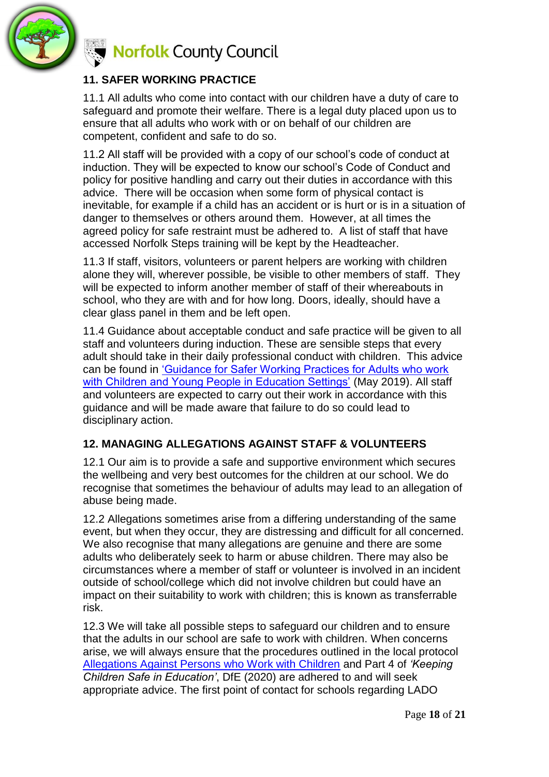

### **11. SAFER WORKING PRACTICE**

11.1 All adults who come into contact with our children have a duty of care to safeguard and promote their welfare. There is a legal duty placed upon us to ensure that all adults who work with or on behalf of our children are competent, confident and safe to do so.

11.2 All staff will be provided with a copy of our school's code of conduct at induction. They will be expected to know our school's Code of Conduct and policy for positive handling and carry out their duties in accordance with this advice. There will be occasion when some form of physical contact is inevitable, for example if a child has an accident or is hurt or is in a situation of danger to themselves or others around them. However, at all times the agreed policy for safe restraint must be adhered to. A list of staff that have accessed Norfolk Steps training will be kept by the Headteacher.

11.3 If staff, visitors, volunteers or parent helpers are working with children alone they will, wherever possible, be visible to other members of staff. They will be expected to inform another member of staff of their whereabouts in school, who they are with and for how long. Doors, ideally, should have a clear glass panel in them and be left open.

11.4 Guidance about acceptable conduct and safe practice will be given to all staff and volunteers during induction. These are sensible steps that every adult should take in their daily professional conduct with children. This advice can be found in ['Guidance for Safer Working Practices for Adults who work](https://www.saferrecruitmentconsortium.org/GSWP%20Sept%202019.pdf)  [with Children and Young People in Education Settings'](https://www.saferrecruitmentconsortium.org/GSWP%20Sept%202019.pdf) (May 2019). All staff and volunteers are expected to carry out their work in accordance with this guidance and will be made aware that failure to do so could lead to disciplinary action.

#### **12. MANAGING ALLEGATIONS AGAINST STAFF & VOLUNTEERS**

12.1 Our aim is to provide a safe and supportive environment which secures the wellbeing and very best outcomes for the children at our school. We do recognise that sometimes the behaviour of adults may lead to an allegation of abuse being made.

12.2 Allegations sometimes arise from a differing understanding of the same event, but when they occur, they are distressing and difficult for all concerned. We also recognise that many allegations are genuine and there are some adults who deliberately seek to harm or abuse children. There may also be circumstances where a member of staff or volunteer is involved in an incident outside of school/college which did not involve children but could have an impact on their suitability to work with children; this is known as transferrable risk.

12.3 We will take all possible steps to safeguard our children and to ensure that the adults in our school are safe to work with children. When concerns arise, we will always ensure that the procedures outlined in the local protocol [Allegations Against Persons who Work with Children](http://www.norfolklscb.org/about/policies-procedures/8-3-allegations-against-persons-who-work-with-children/) and Part 4 of *'Keeping Children Safe in Education'*, DfE (2020) are adhered to and will seek appropriate advice. The first point of contact for schools regarding LADO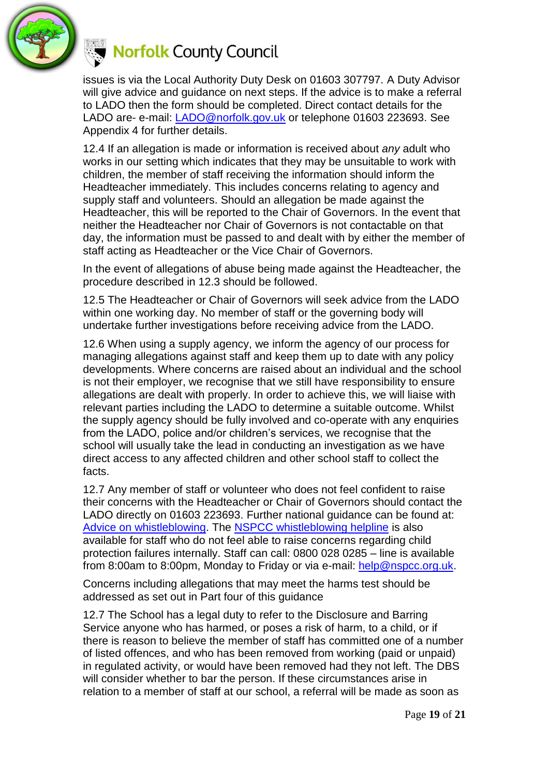

issues is via the Local Authority Duty Desk on 01603 307797. A Duty Advisor will give advice and guidance on next steps. If the advice is to make a referral to LADO then the form should be completed. Direct contact details for the LADO are- e-mail: [LADO@norfolk.gov.uk](mailto:LADO@norfolk.gov.uk) or telephone 01603 223693. See Appendix 4 for further details.

12.4 If an allegation is made or information is received about *any* adult who works in our setting which indicates that they may be unsuitable to work with children, the member of staff receiving the information should inform the Headteacher immediately. This includes concerns relating to agency and supply staff and volunteers. Should an allegation be made against the Headteacher, this will be reported to the Chair of Governors. In the event that neither the Headteacher nor Chair of Governors is not contactable on that day, the information must be passed to and dealt with by either the member of staff acting as Headteacher or the Vice Chair of Governors.

In the event of allegations of abuse being made against the Headteacher, the procedure described in 12.3 should be followed.

12.5 The Headteacher or Chair of Governors will seek advice from the LADO within one working day. No member of staff or the governing body will undertake further investigations before receiving advice from the LADO.

12.6 When using a supply agency, we inform the agency of our process for managing allegations against staff and keep them up to date with any policy developments. Where concerns are raised about an individual and the school is not their employer, we recognise that we still have responsibility to ensure allegations are dealt with properly. In order to achieve this, we will liaise with relevant parties including the LADO to determine a suitable outcome. Whilst the supply agency should be fully involved and co-operate with any enquiries from the LADO, police and/or children's services, we recognise that the school will usually take the lead in conducting an investigation as we have direct access to any affected children and other school staff to collect the facts.

12.7 Any member of staff or volunteer who does not feel confident to raise their concerns with the Headteacher or Chair of Governors should contact the LADO directly on 01603 223693. Further national guidance can be found at: [Advice on whistleblowing.](https://www.gov.uk/whistleblowing) The [NSPCC whistleblowing helpline](https://www.gov.uk/government/news/home-office-launches-child-abuse-whistleblowing-helpline) is also available for staff who do not feel able to raise concerns regarding child protection failures internally. Staff can call: 0800 028 0285 – line is available from 8:00am to 8:00pm, Monday to Friday or via e-mail: [help@nspcc.org.uk.](mailto:help@nspcc.org.uk)

Concerns including allegations that may meet the harms test should be addressed as set out in Part four of this guidance

12.7 The School has a legal duty to refer to the Disclosure and Barring Service anyone who has harmed, or poses a risk of harm, to a child, or if there is reason to believe the member of staff has committed one of a number of listed offences, and who has been removed from working (paid or unpaid) in regulated activity, or would have been removed had they not left. The DBS will consider whether to bar the person. If these circumstances arise in relation to a member of staff at our school, a referral will be made as soon as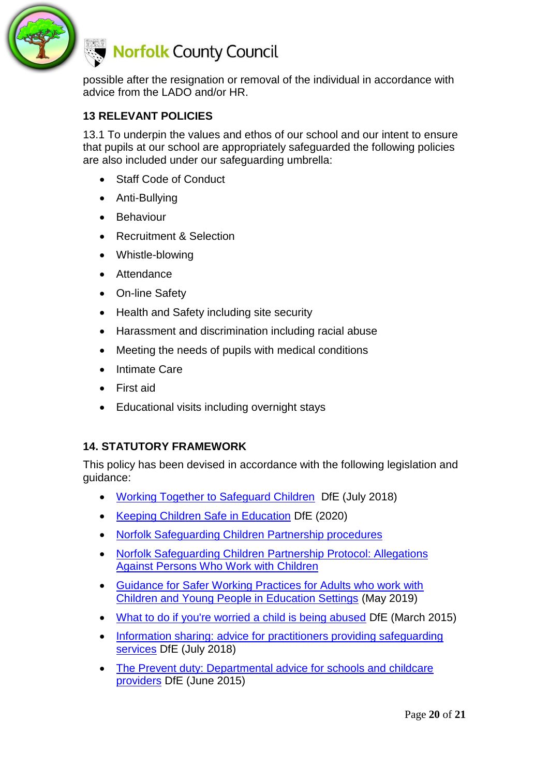

possible after the resignation or removal of the individual in accordance with advice from the LADO and/or HR.

#### **13 RELEVANT POLICIES**

13.1 To underpin the values and ethos of our school and our intent to ensure that pupils at our school are appropriately safeguarded the following policies are also included under our safeguarding umbrella:

- Staff Code of Conduct
- Anti-Bullying
- Behaviour
- Recruitment & Selection
- Whistle-blowing
- Attendance
- On-line Safety
- Health and Safety including site security
- Harassment and discrimination including racial abuse
- Meeting the needs of pupils with medical conditions
- Intimate Care
- First aid
- Educational visits including overnight stays

#### **14. STATUTORY FRAMEWORK**

This policy has been devised in accordance with the following legislation and guidance:

- [Working Together to Safeguard Children](https://www.gov.uk/government/publications/working-together-to-safeguard-children--2) DfE (July 2018)
- [Keeping Children Safe in Education](https://www.gov.uk/government/publications/keeping-children-safe-in-education--2) DfE (2020)
- [Norfolk Safeguarding Children Partnership procedures](https://www.norfolklscb.org/about/policies-procedures/policies-and-procedures/)
- [Norfolk Safeguarding Children Partnership](http://www.norfolklscb.org/about/policies-procedures/8-3-allegations-against-persons-who-work-with-children/) Protocol: Allegations [Against Persons Who Work with Children](http://www.norfolklscb.org/about/policies-procedures/8-3-allegations-against-persons-who-work-with-children/)
- [Guidance for Safer Working Practices for Adults who work with](https://www.saferrecruitmentconsortium.org/GSWP%20Sept%202019.pdf)  [Children and Young People in Education Settings](https://www.saferrecruitmentconsortium.org/GSWP%20Sept%202019.pdf) (May 2019)
- [What to do if you're worried a child is being abused](https://www.gov.uk/government/uploads/system/uploads/attachment_data/file/419604/What_to_do_if_you_re_worried_a_child_is_being_abused.pdf) DfE (March 2015)
- Information sharing: advice for practitioners providing safeguarding [services](https://www.gov.uk/government/uploads/system/uploads/attachment_data/file/721581/Information_sharing_advice_practitioners_safeguarding_services.pdf) DfE (July 2018[\)](https://www.gov.uk/government/uploads/system/uploads/attachment_data/file/419628/Information_sharing_advice_safeguarding_practitioners.pdf)
- [The Prevent duty: Departmental advice for schools and childcare](https://assets.publishing.service.gov.uk/government/uploads/system/uploads/attachment_data/file/439598/prevent-duty-departmental-advice-v6.pdf)  [providers](https://assets.publishing.service.gov.uk/government/uploads/system/uploads/attachment_data/file/439598/prevent-duty-departmental-advice-v6.pdf) DfE (June 2015)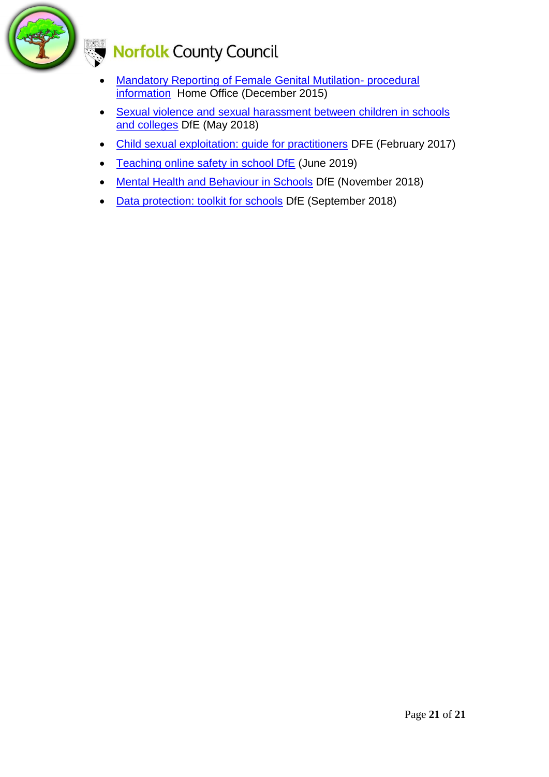

# Norfolk County Council

- [Mandatory Reporting of Female Genital Mutilation-](https://www.gov.uk/government/publications/mandatory-reporting-of-female-genital-mutilation-procedural-information) procedural [information](https://www.gov.uk/government/publications/mandatory-reporting-of-female-genital-mutilation-procedural-information) Home Office (December 2015)
- Sexual violence and sexual harassment between children in schools and colleges [DfE \(May 2018\)](https://www.gov.uk/government/uploads/system/uploads/attachment_data/file/719902/Sexual_violence_and_sexual_harassment_between_children_in_schools_and_colleges.pdf)
- Child [sexual exploitation: guide for practitioners](https://www.gov.uk/government/publications/child-sexual-exploitation-definition-and-guide-for-practitioners) DFE (February 2017)
- [Teaching online safety in school DfE](https://www.gov.uk/government/publications/teaching-online-safety-in-schools) (June 2019)
- [Mental Health and Behaviour in Schools](https://www.gov.uk/government/publications/mental-health-and-behaviour-in-schools--2) DfE (November 2018)
- [Data protection: toolkit for schools](https://www.gov.uk/government/publications/data-protection-toolkit-for-schools) DfE (September 2018)